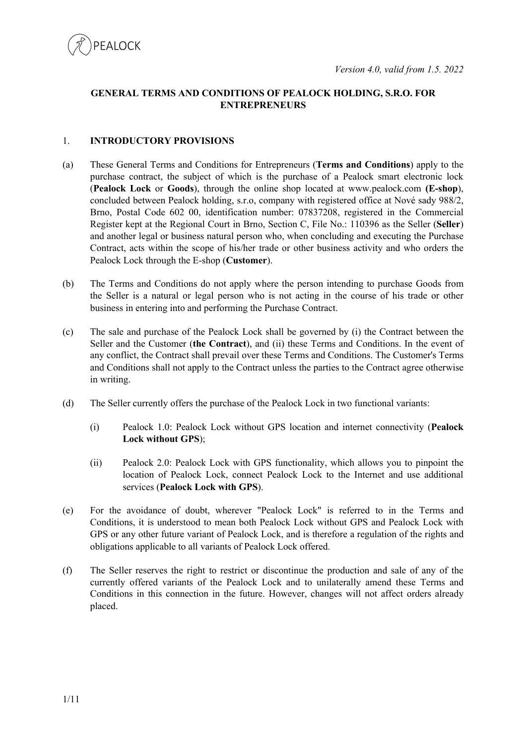

# **GENERAL TERMS AND CONDITIONS OF PEALOCK HOLDING, S.R.O. FOR ENTREPRENEURS**

## 1. **INTRODUCTORY PROVISIONS**

- (a) These General Terms and Conditions for Entrepreneurs (**Terms and Conditions**) apply to the purchase contract, the subject of which is the purchase of a Pealock smart electronic lock (**Pealock Lock** or **Goods**), through the online shop located at www.pealock.com **(E-shop**), concluded between Pealock holding, s.r.o, company with registered office at Nové sady 988/2, Brno, Postal Code 602 00, identification number: 07837208, registered in the Commercial Register kept at the Regional Court in Brno, Section C, File No.: 110396 as the Seller (**Seller**) and another legal or business natural person who, when concluding and executing the Purchase Contract, acts within the scope of his/her trade or other business activity and who orders the Pealock Lock through the E-shop (**Customer**).
- (b) The Terms and Conditions do not apply where the person intending to purchase Goods from the Seller is a natural or legal person who is not acting in the course of his trade or other business in entering into and performing the Purchase Contract.
- (c) The sale and purchase of the Pealock Lock shall be governed by (i) the Contract between the Seller and the Customer (**the Contract**), and (ii) these Terms and Conditions. In the event of any conflict, the Contract shall prevail over these Terms and Conditions. The Customer's Terms and Conditions shall not apply to the Contract unless the parties to the Contract agree otherwise in writing.
- (d) The Seller currently offers the purchase of the Pealock Lock in two functional variants:
	- (i) Pealock 1.0: Pealock Lock without GPS location and internet connectivity (**Pealock Lock without GPS**);
	- (ii) Pealock 2.0: Pealock Lock with GPS functionality, which allows you to pinpoint the location of Pealock Lock, connect Pealock Lock to the Internet and use additional services (**Pealock Lock with GPS**).
- (e) For the avoidance of doubt, wherever "Pealock Lock" is referred to in the Terms and Conditions, it is understood to mean both Pealock Lock without GPS and Pealock Lock with GPS or any other future variant of Pealock Lock, and is therefore a regulation of the rights and obligations applicable to all variants of Pealock Lock offered.
- (f) The Seller reserves the right to restrict or discontinue the production and sale of any of the currently offered variants of the Pealock Lock and to unilaterally amend these Terms and Conditions in this connection in the future. However, changes will not affect orders already placed.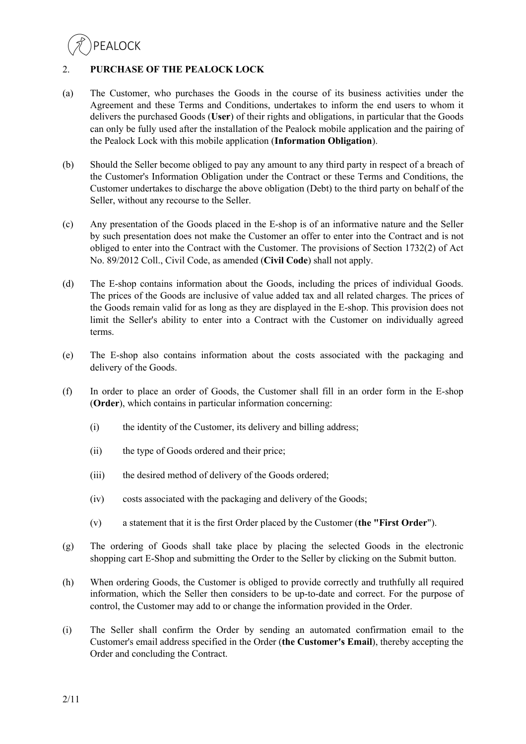# 2. **PURCHASE OF THE PEALOCK LOCK**

- (a) The Customer, who purchases the Goods in the course of its business activities under the Agreement and these Terms and Conditions, undertakes to inform the end users to whom it delivers the purchased Goods (**User**) of their rights and obligations, in particular that the Goods can only be fully used after the installation of the Pealock mobile application and the pairing of the Pealock Lock with this mobile application (**Information Obligation**).
- (b) Should the Seller become obliged to pay any amount to any third party in respect of a breach of the Customer's Information Obligation under the Contract or these Terms and Conditions, the Customer undertakes to discharge the above obligation (Debt) to the third party on behalf of the Seller, without any recourse to the Seller.
- (c) Any presentation of the Goods placed in the E-shop is of an informative nature and the Seller by such presentation does not make the Customer an offer to enter into the Contract and is not obliged to enter into the Contract with the Customer. The provisions of Section 1732(2) of Act No. 89/2012 Coll., Civil Code, as amended (**Civil Code**) shall not apply.
- (d) The E-shop contains information about the Goods, including the prices of individual Goods. The prices of the Goods are inclusive of value added tax and all related charges. The prices of the Goods remain valid for as long as they are displayed in the E-shop. This provision does not limit the Seller's ability to enter into a Contract with the Customer on individually agreed terms.
- (e) The E-shop also contains information about the costs associated with the packaging and delivery of the Goods.
- (f) In order to place an order of Goods, the Customer shall fill in an order form in the E-shop (**Order**), which contains in particular information concerning:
	- (i) the identity of the Customer, its delivery and billing address;
	- (ii) the type of Goods ordered and their price;
	- (iii) the desired method of delivery of the Goods ordered;
	- (iv) costs associated with the packaging and delivery of the Goods;
	- (v) a statement that it is the first Order placed by the Customer (**the "First Order**").
- (g) The ordering of Goods shall take place by placing the selected Goods in the electronic shopping cart E-Shop and submitting the Order to the Seller by clicking on the Submit button.
- (h) When ordering Goods, the Customer is obliged to provide correctly and truthfully all required information, which the Seller then considers to be up-to-date and correct. For the purpose of control, the Customer may add to or change the information provided in the Order.
- (i) The Seller shall confirm the Order by sending an automated confirmation email to the Customer's email address specified in the Order (**the Customer's Email**), thereby accepting the Order and concluding the Contract.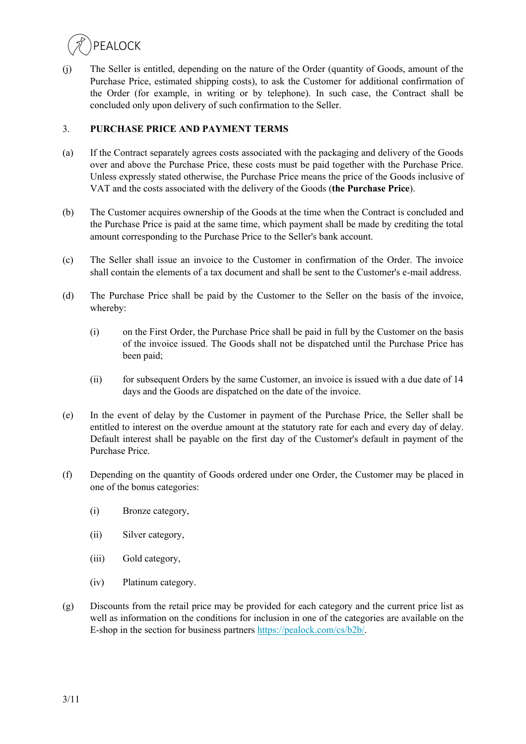

(j) The Seller is entitled, depending on the nature of the Order (quantity of Goods, amount of the Purchase Price, estimated shipping costs), to ask the Customer for additional confirmation of the Order (for example, in writing or by telephone). In such case, the Contract shall be concluded only upon delivery of such confirmation to the Seller.

## 3. **PURCHASE PRICE AND PAYMENT TERMS**

- (a) If the Contract separately agrees costs associated with the packaging and delivery of the Goods over and above the Purchase Price, these costs must be paid together with the Purchase Price. Unless expressly stated otherwise, the Purchase Price means the price of the Goods inclusive of VAT and the costs associated with the delivery of the Goods (**the Purchase Price**).
- (b) The Customer acquires ownership of the Goods at the time when the Contract is concluded and the Purchase Price is paid at the same time, which payment shall be made by crediting the total amount corresponding to the Purchase Price to the Seller's bank account.
- (c) The Seller shall issue an invoice to the Customer in confirmation of the Order. The invoice shall contain the elements of a tax document and shall be sent to the Customer's e-mail address.
- (d) The Purchase Price shall be paid by the Customer to the Seller on the basis of the invoice, whereby:
	- (i) on the First Order, the Purchase Price shall be paid in full by the Customer on the basis of the invoice issued. The Goods shall not be dispatched until the Purchase Price has been paid;
	- (ii) for subsequent Orders by the same Customer, an invoice is issued with a due date of 14 days and the Goods are dispatched on the date of the invoice.
- (e) In the event of delay by the Customer in payment of the Purchase Price, the Seller shall be entitled to interest on the overdue amount at the statutory rate for each and every day of delay. Default interest shall be payable on the first day of the Customer's default in payment of the Purchase Price.
- (f) Depending on the quantity of Goods ordered under one Order, the Customer may be placed in one of the bonus categories:
	- (i) Bronze category,
	- (ii) Silver category,
	- (iii) Gold category,
	- (iv) Platinum category.
- (g) Discounts from the retail price may be provided for each category and the current price list as well as information on the conditions for inclusion in one of the categories are available on the E-shop in the section for business partners https://pealock.com/cs/b2b/.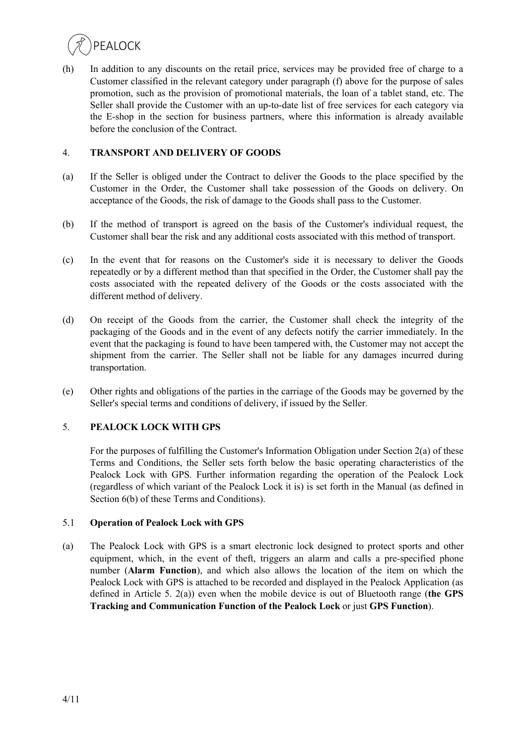

(h) In addition to any discounts on the retail price, services may be provided free of charge to a Customer classified in the relevant category under paragraph (f) above for the purpose of sales promotion, such as the provision of promotional materials, the loan of a tablet stand, etc. The Seller shall provide the Customer with an up-to-date list of free services for each category via the E-shop in the section for business partners, where this information is already available before the conclusion of the Contract.

## 4. **TRANSPORT AND DELIVERY OF GOODS**

- (a) If the Seller is obliged under the Contract to deliver the Goods to the place specified by the Customer in the Order, the Customer shall take possession of the Goods on delivery. On acceptance of the Goods, the risk of damage to the Goods shall pass to the Customer.
- (b) If the method of transport is agreed on the basis of the Customer's individual request, the Customer shall bear the risk and any additional costs associated with this method of transport.
- (c) In the event that for reasons on the Customer's side it is necessary to deliver the Goods repeatedly or by a different method than that specified in the Order, the Customer shall pay the costs associated with the repeated delivery of the Goods or the costs associated with the different method of delivery.
- (d) On receipt of the Goods from the carrier, the Customer shall check the integrity of the packaging of the Goods and in the event of any defects notify the carrier immediately. In the event that the packaging is found to have been tampered with, the Customer may not accept the shipment from the carrier. The Seller shall not be liable for any damages incurred during transportation.
- (e) Other rights and obligations of the parties in the carriage of the Goods may be governed by the Seller's special terms and conditions of delivery, if issued by the Seller.

#### 5. **PEALOCK LOCK WITH GPS**

For the purposes of fulfilling the Customer's Information Obligation under Section 2(a) of these Terms and Conditions, the Seller sets forth below the basic operating characteristics of the Pealock Lock with GPS. Further information regarding the operation of the Pealock Lock (regardless of which variant of the Pealock Lock it is) is set forth in the Manual (as defined in Section 6(b) of these Terms and Conditions).

#### 5.1 **Operation of Pealock Lock with GPS**

(a) The Pealock Lock with GPS is a smart electronic lock designed to protect sports and other equipment, which, in the event of theft, triggers an alarm and calls a pre-specified phone number (**Alarm Function**), and which also allows the location of the item on which the Pealock Lock with GPS is attached to be recorded and displayed in the Pealock Application (as defined in Article 5. 2(a)) even when the mobile device is out of Bluetooth range (**the GPS Tracking and Communication Function of the Pealock Lock** or just **GPS Function**).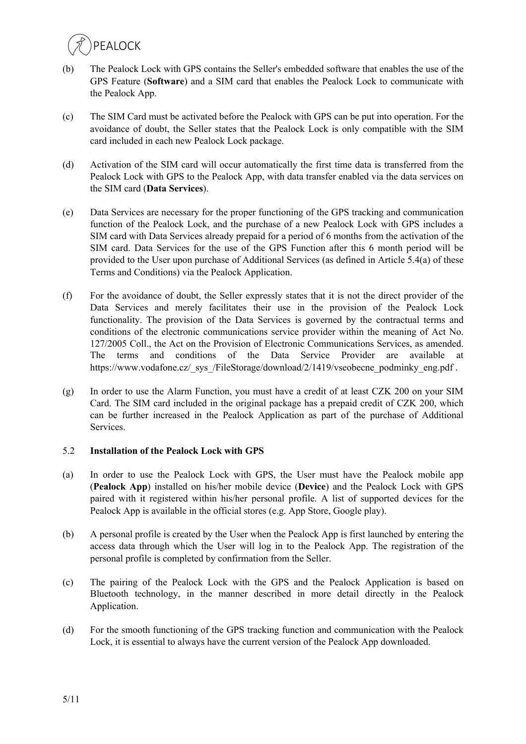- (b) The Pealock Lock with GPS contains the Seller's embedded software that enables the use of the GPS Feature (**Software**) and a SIM card that enables the Pealock Lock to communicate with the Pealock App.
- (c) The SIM Card must be activated before the Pealock with GPS can be put into operation. For the avoidance of doubt, the Seller states that the Pealock Lock is only compatible with the SIM card included in each new Pealock Lock package.
- (d) Activation of the SIM card will occur automatically the first time data is transferred from the Pealock Lock with GPS to the Pealock App, with data transfer enabled via the data services on the SIM card (**Data Services**).
- (e) Data Services are necessary for the proper functioning of the GPS tracking and communication function of the Pealock Lock, and the purchase of a new Pealock Lock with GPS includes a SIM card with Data Services already prepaid for a period of 6 months from the activation of the SIM card. Data Services for the use of the GPS Function after this 6 month period will be provided to the User upon purchase of Additional Services (as defined in Article 5.4(a) of these Terms and Conditions) via the Pealock Application.
- (f) For the avoidance of doubt, the Seller expressly states that it is not the direct provider of the Data Services and merely facilitates their use in the provision of the Pealock Lock functionality. The provision of the Data Services is governed by the contractual terms and conditions of the electronic communications service provider within the meaning of Act No. 127/2005 Coll., the Act on the Provision of Electronic Communications Services, as amended. The terms and conditions of the Data Service Provider are available at https://www.vodafone.cz/\_sys\_/FileStorage/download/2/1419/vseobecne\_podminky\_eng.pdf .
- (g) In order to use the Alarm Function, you must have a credit of at least CZK 200 on your SIM Card. The SIM card included in the original package has a prepaid credit of CZK 200, which can be further increased in the Pealock Application as part of the purchase of Additional Services.

# 5.2 **Installation of the Pealock Lock with GPS**

- (a) In order to use the Pealock Lock with GPS, the User must have the Pealock mobile app (**Pealock App**) installed on his/her mobile device (**Device**) and the Pealock Lock with GPS paired with it registered within his/her personal profile. A list of supported devices for the Pealock App is available in the official stores (e.g. App Store, Google play).
- (b) A personal profile is created by the User when the Pealock App is first launched by entering the access data through which the User will log in to the Pealock App. The registration of the personal profile is completed by confirmation from the Seller.
- (c) The pairing of the Pealock Lock with the GPS and the Pealock Application is based on Bluetooth technology, in the manner described in more detail directly in the Pealock Application.
- (d) For the smooth functioning of the GPS tracking function and communication with the Pealock Lock, it is essential to always have the current version of the Pealock App downloaded.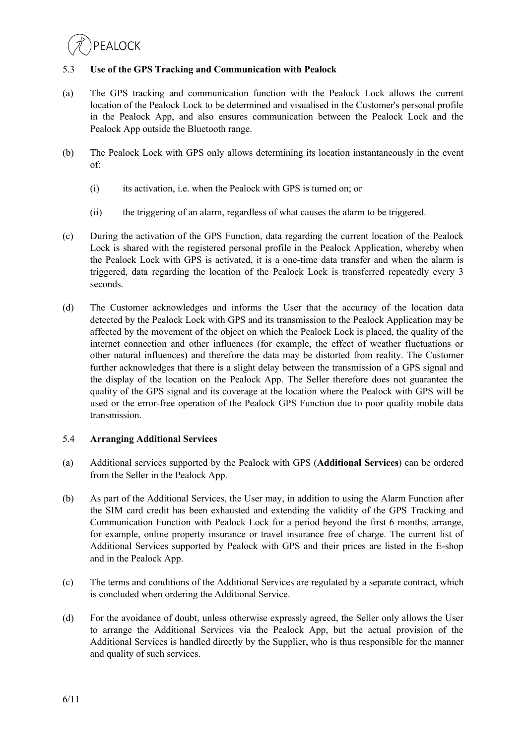## 5.3 **Use of the GPS Tracking and Communication with Pealock**

- (a) The GPS tracking and communication function with the Pealock Lock allows the current location of the Pealock Lock to be determined and visualised in the Customer's personal profile in the Pealock App, and also ensures communication between the Pealock Lock and the Pealock App outside the Bluetooth range.
- (b) The Pealock Lock with GPS only allows determining its location instantaneously in the event of:
	- (i) its activation, i.e. when the Pealock with GPS is turned on; or
	- (ii) the triggering of an alarm, regardless of what causes the alarm to be triggered.
- (c) During the activation of the GPS Function, data regarding the current location of the Pealock Lock is shared with the registered personal profile in the Pealock Application, whereby when the Pealock Lock with GPS is activated, it is a one-time data transfer and when the alarm is triggered, data regarding the location of the Pealock Lock is transferred repeatedly every 3 seconds.
- (d) The Customer acknowledges and informs the User that the accuracy of the location data detected by the Pealock Lock with GPS and its transmission to the Pealock Application may be affected by the movement of the object on which the Pealock Lock is placed, the quality of the internet connection and other influences (for example, the effect of weather fluctuations or other natural influences) and therefore the data may be distorted from reality. The Customer further acknowledges that there is a slight delay between the transmission of a GPS signal and the display of the location on the Pealock App. The Seller therefore does not guarantee the quality of the GPS signal and its coverage at the location where the Pealock with GPS will be used or the error-free operation of the Pealock GPS Function due to poor quality mobile data transmission.

#### 5.4 **Arranging Additional Services**

- (a) Additional services supported by the Pealock with GPS (**Additional Services**) can be ordered from the Seller in the Pealock App.
- (b) As part of the Additional Services, the User may, in addition to using the Alarm Function after the SIM card credit has been exhausted and extending the validity of the GPS Tracking and Communication Function with Pealock Lock for a period beyond the first 6 months, arrange, for example, online property insurance or travel insurance free of charge. The current list of Additional Services supported by Pealock with GPS and their prices are listed in the E-shop and in the Pealock App.
- (c) The terms and conditions of the Additional Services are regulated by a separate contract, which is concluded when ordering the Additional Service.
- (d) For the avoidance of doubt, unless otherwise expressly agreed, the Seller only allows the User to arrange the Additional Services via the Pealock App, but the actual provision of the Additional Services is handled directly by the Supplier, who is thus responsible for the manner and quality of such services.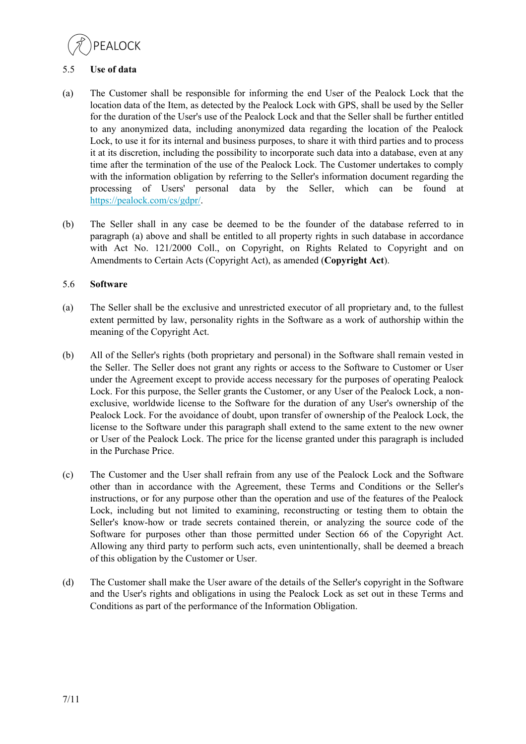

## 5.5 **Use of data**

- (a) The Customer shall be responsible for informing the end User of the Pealock Lock that the location data of the Item, as detected by the Pealock Lock with GPS, shall be used by the Seller for the duration of the User's use of the Pealock Lock and that the Seller shall be further entitled to any anonymized data, including anonymized data regarding the location of the Pealock Lock, to use it for its internal and business purposes, to share it with third parties and to process it at its discretion, including the possibility to incorporate such data into a database, even at any time after the termination of the use of the Pealock Lock. The Customer undertakes to comply with the information obligation by referring to the Seller's information document regarding the processing of Users' personal data by the Seller, which can be found at https://pealock.com/cs/gdpr/.
- (b) The Seller shall in any case be deemed to be the founder of the database referred to in paragraph (a) above and shall be entitled to all property rights in such database in accordance with Act No. 121/2000 Coll., on Copyright, on Rights Related to Copyright and on Amendments to Certain Acts (Copyright Act), as amended (**Copyright Act**).

## 5.6 **Software**

- (a) The Seller shall be the exclusive and unrestricted executor of all proprietary and, to the fullest extent permitted by law, personality rights in the Software as a work of authorship within the meaning of the Copyright Act.
- (b) All of the Seller's rights (both proprietary and personal) in the Software shall remain vested in the Seller. The Seller does not grant any rights or access to the Software to Customer or User under the Agreement except to provide access necessary for the purposes of operating Pealock Lock. For this purpose, the Seller grants the Customer, or any User of the Pealock Lock, a nonexclusive, worldwide license to the Software for the duration of any User's ownership of the Pealock Lock. For the avoidance of doubt, upon transfer of ownership of the Pealock Lock, the license to the Software under this paragraph shall extend to the same extent to the new owner or User of the Pealock Lock. The price for the license granted under this paragraph is included in the Purchase Price.
- (c) The Customer and the User shall refrain from any use of the Pealock Lock and the Software other than in accordance with the Agreement, these Terms and Conditions or the Seller's instructions, or for any purpose other than the operation and use of the features of the Pealock Lock, including but not limited to examining, reconstructing or testing them to obtain the Seller's know-how or trade secrets contained therein, or analyzing the source code of the Software for purposes other than those permitted under Section 66 of the Copyright Act. Allowing any third party to perform such acts, even unintentionally, shall be deemed a breach of this obligation by the Customer or User.
- (d) The Customer shall make the User aware of the details of the Seller's copyright in the Software and the User's rights and obligations in using the Pealock Lock as set out in these Terms and Conditions as part of the performance of the Information Obligation.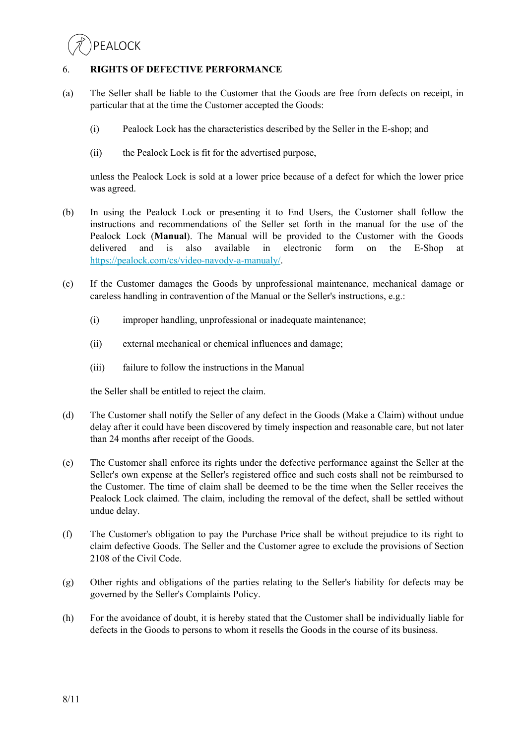## 6. **RIGHTS OF DEFECTIVE PERFORMANCE**

- (a) The Seller shall be liable to the Customer that the Goods are free from defects on receipt, in particular that at the time the Customer accepted the Goods:
	- (i) Pealock Lock has the characteristics described by the Seller in the E-shop; and
	- (ii) the Pealock Lock is fit for the advertised purpose,

unless the Pealock Lock is sold at a lower price because of a defect for which the lower price was agreed.

- (b) In using the Pealock Lock or presenting it to End Users, the Customer shall follow the instructions and recommendations of the Seller set forth in the manual for the use of the Pealock Lock (**Manual**). The Manual will be provided to the Customer with the Goods delivered and is also available in electronic form on the E-Shop at https://pealock.com/cs/video-navody-a-manualy/.
- (c) If the Customer damages the Goods by unprofessional maintenance, mechanical damage or careless handling in contravention of the Manual or the Seller's instructions, e.g.:
	- (i) improper handling, unprofessional or inadequate maintenance;
	- (ii) external mechanical or chemical influences and damage;
	- (iii) failure to follow the instructions in the Manual

the Seller shall be entitled to reject the claim.

- (d) The Customer shall notify the Seller of any defect in the Goods (Make a Claim) without undue delay after it could have been discovered by timely inspection and reasonable care, but not later than 24 months after receipt of the Goods.
- (e) The Customer shall enforce its rights under the defective performance against the Seller at the Seller's own expense at the Seller's registered office and such costs shall not be reimbursed to the Customer. The time of claim shall be deemed to be the time when the Seller receives the Pealock Lock claimed. The claim, including the removal of the defect, shall be settled without undue delay.
- (f) The Customer's obligation to pay the Purchase Price shall be without prejudice to its right to claim defective Goods. The Seller and the Customer agree to exclude the provisions of Section 2108 of the Civil Code.
- (g) Other rights and obligations of the parties relating to the Seller's liability for defects may be governed by the Seller's Complaints Policy.
- (h) For the avoidance of doubt, it is hereby stated that the Customer shall be individually liable for defects in the Goods to persons to whom it resells the Goods in the course of its business.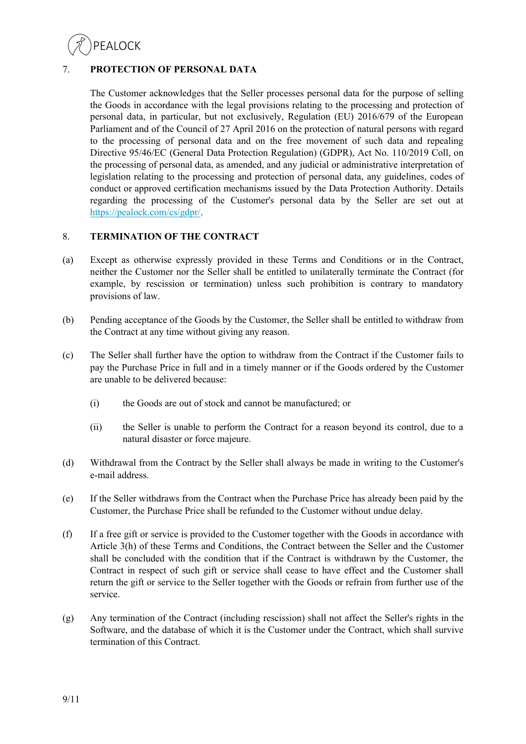

# 7. **PROTECTION OF PERSONAL DATA**

The Customer acknowledges that the Seller processes personal data for the purpose of selling the Goods in accordance with the legal provisions relating to the processing and protection of personal data, in particular, but not exclusively, Regulation (EU) 2016/679 of the European Parliament and of the Council of 27 April 2016 on the protection of natural persons with regard to the processing of personal data and on the free movement of such data and repealing Directive 95/46/EC (General Data Protection Regulation) (GDPR), Act No. 110/2019 Coll, on the processing of personal data, as amended, and any judicial or administrative interpretation of legislation relating to the processing and protection of personal data, any guidelines, codes of conduct or approved certification mechanisms issued by the Data Protection Authority. Details regarding the processing of the Customer's personal data by the Seller are set out at https://pealock.com/cs/gdpr/.

## 8. **TERMINATION OF THE CONTRACT**

- (a) Except as otherwise expressly provided in these Terms and Conditions or in the Contract, neither the Customer nor the Seller shall be entitled to unilaterally terminate the Contract (for example, by rescission or termination) unless such prohibition is contrary to mandatory provisions of law.
- (b) Pending acceptance of the Goods by the Customer, the Seller shall be entitled to withdraw from the Contract at any time without giving any reason.
- (c) The Seller shall further have the option to withdraw from the Contract if the Customer fails to pay the Purchase Price in full and in a timely manner or if the Goods ordered by the Customer are unable to be delivered because:
	- (i) the Goods are out of stock and cannot be manufactured; or
	- (ii) the Seller is unable to perform the Contract for a reason beyond its control, due to a natural disaster or force majeure.
- (d) Withdrawal from the Contract by the Seller shall always be made in writing to the Customer's e-mail address.
- (e) If the Seller withdraws from the Contract when the Purchase Price has already been paid by the Customer, the Purchase Price shall be refunded to the Customer without undue delay.
- (f) If a free gift or service is provided to the Customer together with the Goods in accordance with Article 3(h) of these Terms and Conditions, the Contract between the Seller and the Customer shall be concluded with the condition that if the Contract is withdrawn by the Customer, the Contract in respect of such gift or service shall cease to have effect and the Customer shall return the gift or service to the Seller together with the Goods or refrain from further use of the service.
- (g) Any termination of the Contract (including rescission) shall not affect the Seller's rights in the Software, and the database of which it is the Customer under the Contract, which shall survive termination of this Contract.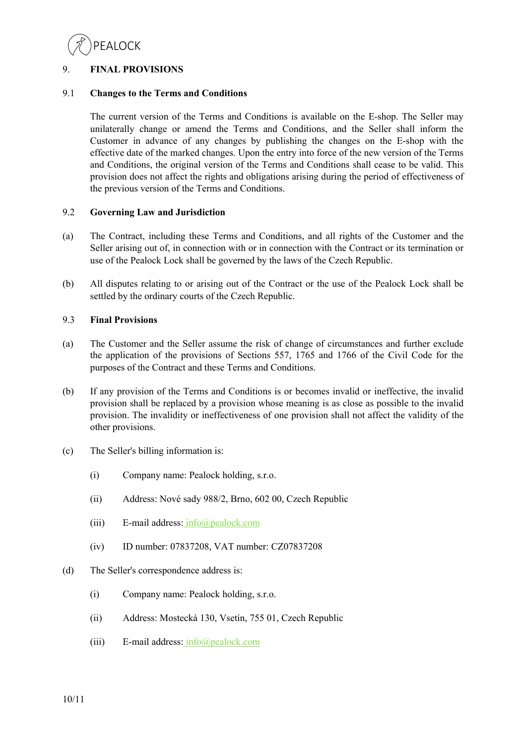

# 9. **FINAL PROVISIONS**

# 9.1 **Changes to the Terms and Conditions**

The current version of the Terms and Conditions is available on the E-shop. The Seller may unilaterally change or amend the Terms and Conditions, and the Seller shall inform the Customer in advance of any changes by publishing the changes on the E-shop with the effective date of the marked changes. Upon the entry into force of the new version of the Terms and Conditions, the original version of the Terms and Conditions shall cease to be valid. This provision does not affect the rights and obligations arising during the period of effectiveness of the previous version of the Terms and Conditions.

#### 9.2 **Governing Law and Jurisdiction**

- (a) The Contract, including these Terms and Conditions, and all rights of the Customer and the Seller arising out of, in connection with or in connection with the Contract or its termination or use of the Pealock Lock shall be governed by the laws of the Czech Republic.
- (b) All disputes relating to or arising out of the Contract or the use of the Pealock Lock shall be settled by the ordinary courts of the Czech Republic.

#### 9.3 **Final Provisions**

- (a) The Customer and the Seller assume the risk of change of circumstances and further exclude the application of the provisions of Sections 557, 1765 and 1766 of the Civil Code for the purposes of the Contract and these Terms and Conditions.
- (b) If any provision of the Terms and Conditions is or becomes invalid or ineffective, the invalid provision shall be replaced by a provision whose meaning is as close as possible to the invalid provision. The invalidity or ineffectiveness of one provision shall not affect the validity of the other provisions.
- (c) The Seller's billing information is:
	- (i) Company name: Pealock holding, s.r.o.
	- (ii) Address: Nové sady 988/2, Brno, 602 00, Czech Republic
	- (iii) E-mail address:  $info(\omega)$  pealock.com
	- (iv) ID number: 07837208, VAT number: CZ07837208
- (d) The Seller's correspondence address is:
	- (i) Company name: Pealock holding, s.r.o.
	- (ii) Address: Mostecká 130, Vsetín, 755 01, Czech Republic
	- (iii) E-mail address:  $info(\omega)$  pealock.com